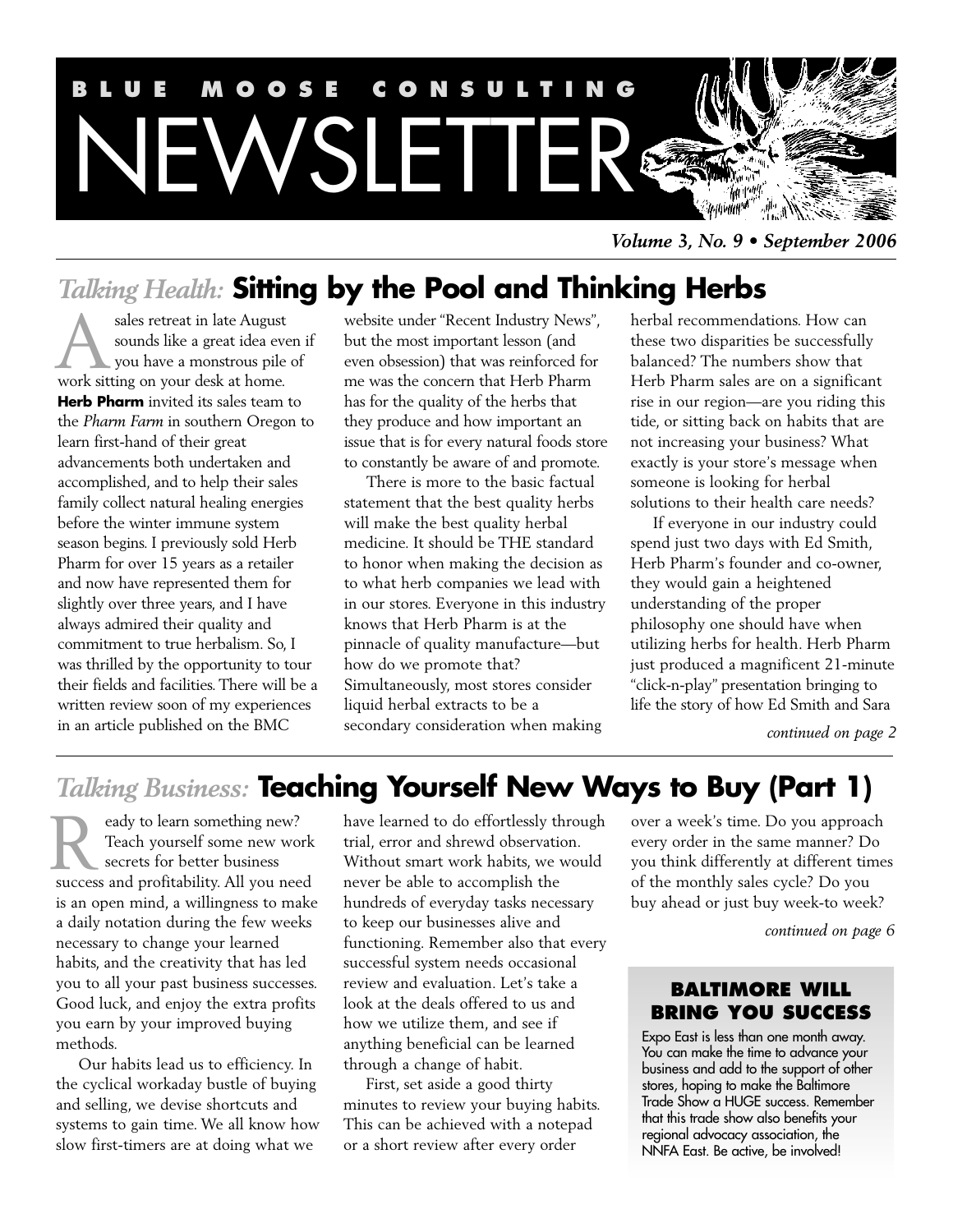

*Volume 3, No. 9 • September 2006*

# *Talking Health:* **Sitting by the Pool and Thinking Herbs**

sales retreat in late August sounds like a great idea even if you have a monstrous pile of sales retreat in late August<br>sounds like a great idea ev<br>work sitting on your desk at home. **Herb Pharm** invited its sales team to the *Pharm Farm* in southern Oregon to learn first-hand of their great advancements both undertaken and accomplished, and to help their sales family collect natural healing energies before the winter immune system season begins. I previously sold Herb Pharm for over 15 years as a retailer and now have represented them for slightly over three years, and I have always admired their quality and commitment to true herbalism. So, I was thrilled by the opportunity to tour their fields and facilities. There will be a written review soon of my experiences in an article published on the BMC

website under "Recent Industry News", but the most important lesson (and even obsession) that was reinforced for me was the concern that Herb Pharm has for the quality of the herbs that they produce and how important an issue that is for every natural foods store to constantly be aware of and promote.

There is more to the basic factual statement that the best quality herbs will make the best quality herbal medicine. It should be THE standard to honor when making the decision as to what herb companies we lead with in our stores. Everyone in this industry knows that Herb Pharm is at the pinnacle of quality manufacture—but how do we promote that? Simultaneously, most stores consider liquid herbal extracts to be a secondary consideration when making

herbal recommendations. How can these two disparities be successfully balanced? The numbers show that Herb Pharm sales are on a significant rise in our region—are you riding this tide, or sitting back on habits that are not increasing your business? What exactly is your store's message when someone is looking for herbal solutions to their health care needs?

If everyone in our industry could spend just two days with Ed Smith, Herb Pharm's founder and co-owner, they would gain a heightened understanding of the proper philosophy one should have when utilizing herbs for health. Herb Pharm just produced a magnificent 21-minute "click-n-play" presentation bringing to life the story of how Ed Smith and Sara

*continued on page 2*

# *Talking Business:* **Teaching Yourself New Ways to Buy (Part 1)**

eady to learn something new? Teach yourself some new work secrets for better business **R** reach yourself some new work<br>secrets for better business<br>success and profitability. All you need is an open mind, a willingness to make a daily notation during the few weeks necessary to change your learned habits, and the creativity that has led you to all your past business successes. Good luck, and enjoy the extra profits you earn by your improved buying methods.

Our habits lead us to efficiency. In the cyclical workaday bustle of buying and selling, we devise shortcuts and systems to gain time. We all know how slow first-timers are at doing what we

have learned to do effortlessly through trial, error and shrewd observation. Without smart work habits, we would never be able to accomplish the hundreds of everyday tasks necessary to keep our businesses alive and functioning. Remember also that every successful system needs occasional review and evaluation. Let's take a look at the deals offered to us and how we utilize them, and see if anything beneficial can be learned through a change of habit.

First, set aside a good thirty minutes to review your buying habits. This can be achieved with a notepad or a short review after every order

over a week's time. Do you approach every order in the same manner? Do you think differently at different times of the monthly sales cycle? Do you buy ahead or just buy week-to week?

*continued on page 6*

## **BALTIMORE WILL BRING YOU SUCCESS**

Expo East is less than one month away. You can make the time to advance your business and add to the support of other stores, hoping to make the Baltimore Trade Show a HUGE success. Remember that this trade show also benefits your regional advocacy association, the NNFA East. Be active, be involved!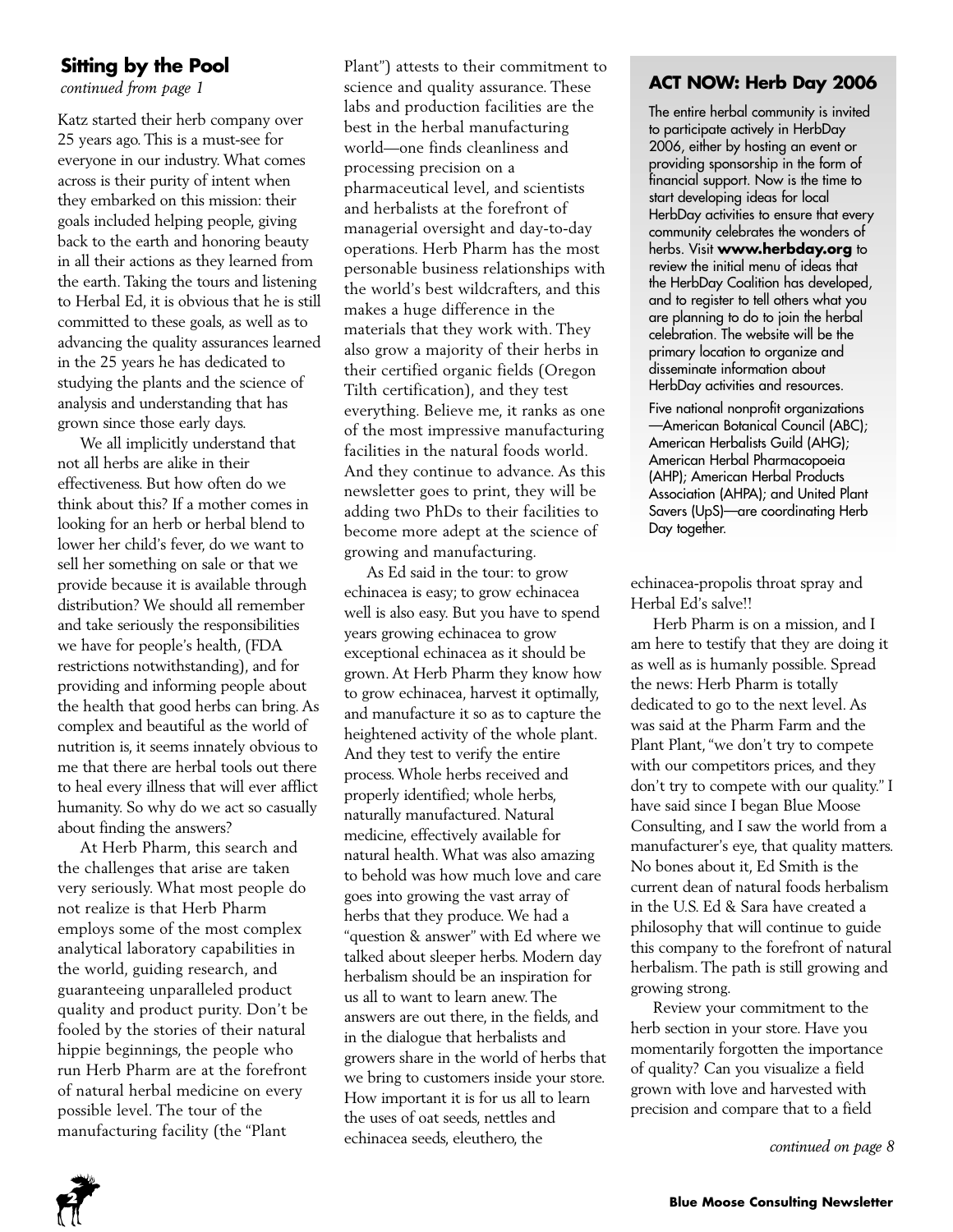## **Sitting by the Pool**

*continued from page 1*

Katz started their herb company over 25 years ago. This is a must-see for everyone in our industry. What comes across is their purity of intent when they embarked on this mission: their goals included helping people, giving back to the earth and honoring beauty in all their actions as they learned from the earth. Taking the tours and listening to Herbal Ed, it is obvious that he is still committed to these goals, as well as to advancing the quality assurances learned in the 25 years he has dedicated to studying the plants and the science of analysis and understanding that has grown since those early days.

We all implicitly understand that not all herbs are alike in their effectiveness. But how often do we think about this? If a mother comes in looking for an herb or herbal blend to lower her child's fever, do we want to sell her something on sale or that we provide because it is available through distribution? We should all remember and take seriously the responsibilities we have for people's health, (FDA restrictions notwithstanding), and for providing and informing people about the health that good herbs can bring. As complex and beautiful as the world of nutrition is, it seems innately obvious to me that there are herbal tools out there to heal every illness that will ever afflict humanity. So why do we act so casually about finding the answers?

At Herb Pharm, this search and the challenges that arise are taken very seriously. What most people do not realize is that Herb Pharm employs some of the most complex analytical laboratory capabilities in the world, guiding research, and guaranteeing unparalleled product quality and product purity. Don't be fooled by the stories of their natural hippie beginnings, the people who run Herb Pharm are at the forefront of natural herbal medicine on every possible level. The tour of the manufacturing facility (the "Plant

Plant") attests to their commitment to science and quality assurance. These labs and production facilities are the best in the herbal manufacturing world—one finds cleanliness and processing precision on a pharmaceutical level, and scientists and herbalists at the forefront of managerial oversight and day-to-day operations. Herb Pharm has the most personable business relationships with the world's best wildcrafters, and this makes a huge difference in the materials that they work with. They also grow a majority of their herbs in their certified organic fields (Oregon Tilth certification), and they test everything. Believe me, it ranks as one of the most impressive manufacturing facilities in the natural foods world. And they continue to advance. As this newsletter goes to print, they will be adding two PhDs to their facilities to become more adept at the science of growing and manufacturing.

As Ed said in the tour: to grow echinacea is easy; to grow echinacea well is also easy. But you have to spend years growing echinacea to grow exceptional echinacea as it should be grown. At Herb Pharm they know how to grow echinacea, harvest it optimally, and manufacture it so as to capture the heightened activity of the whole plant. And they test to verify the entire process. Whole herbs received and properly identified; whole herbs, naturally manufactured. Natural medicine, effectively available for natural health. What was also amazing to behold was how much love and care goes into growing the vast array of herbs that they produce. We had a "question & answer" with Ed where we talked about sleeper herbs. Modern day herbalism should be an inspiration for us all to want to learn anew. The answers are out there, in the fields, and in the dialogue that herbalists and growers share in the world of herbs that we bring to customers inside your store. How important it is for us all to learn the uses of oat seeds, nettles and echinacea seeds, eleuthero, the

# **ACT NOW: Herb Day 2006**

The entire herbal community is invited to participate actively in HerbDay 2006, either by hosting an event or providing sponsorship in the form of financial support. Now is the time to start developing ideas for local HerbDay activities to ensure that every community celebrates the wonders of herbs. Visit **www.herbday.org** to review the initial menu of ideas that the HerbDay Coalition has developed, and to register to tell others what you are planning to do to join the herbal celebration. The website will be the primary location to organize and disseminate information about HerbDay activities and resources.

Five national nonprofit organizations —American Botanical Council (ABC); American Herbalists Guild (AHG); American Herbal Pharmacopoeia (AHP); American Herbal Products Association (AHPA); and United Plant Savers (UpS)—are coordinating Herb Day together.

echinacea-propolis throat spray and Herbal Ed's salve!!

Herb Pharm is on a mission, and I am here to testify that they are doing it as well as is humanly possible. Spread the news: Herb Pharm is totally dedicated to go to the next level. As was said at the Pharm Farm and the Plant Plant, "we don't try to compete with our competitors prices, and they don't try to compete with our quality." I have said since I began Blue Moose Consulting, and I saw the world from a manufacturer's eye, that quality matters. No bones about it, Ed Smith is the current dean of natural foods herbalism in the U.S. Ed & Sara have created a philosophy that will continue to guide this company to the forefront of natural herbalism. The path is still growing and growing strong.

Review your commitment to the herb section in your store. Have you momentarily forgotten the importance of quality? Can you visualize a field grown with love and harvested with precision and compare that to a field

*continued on page 8*

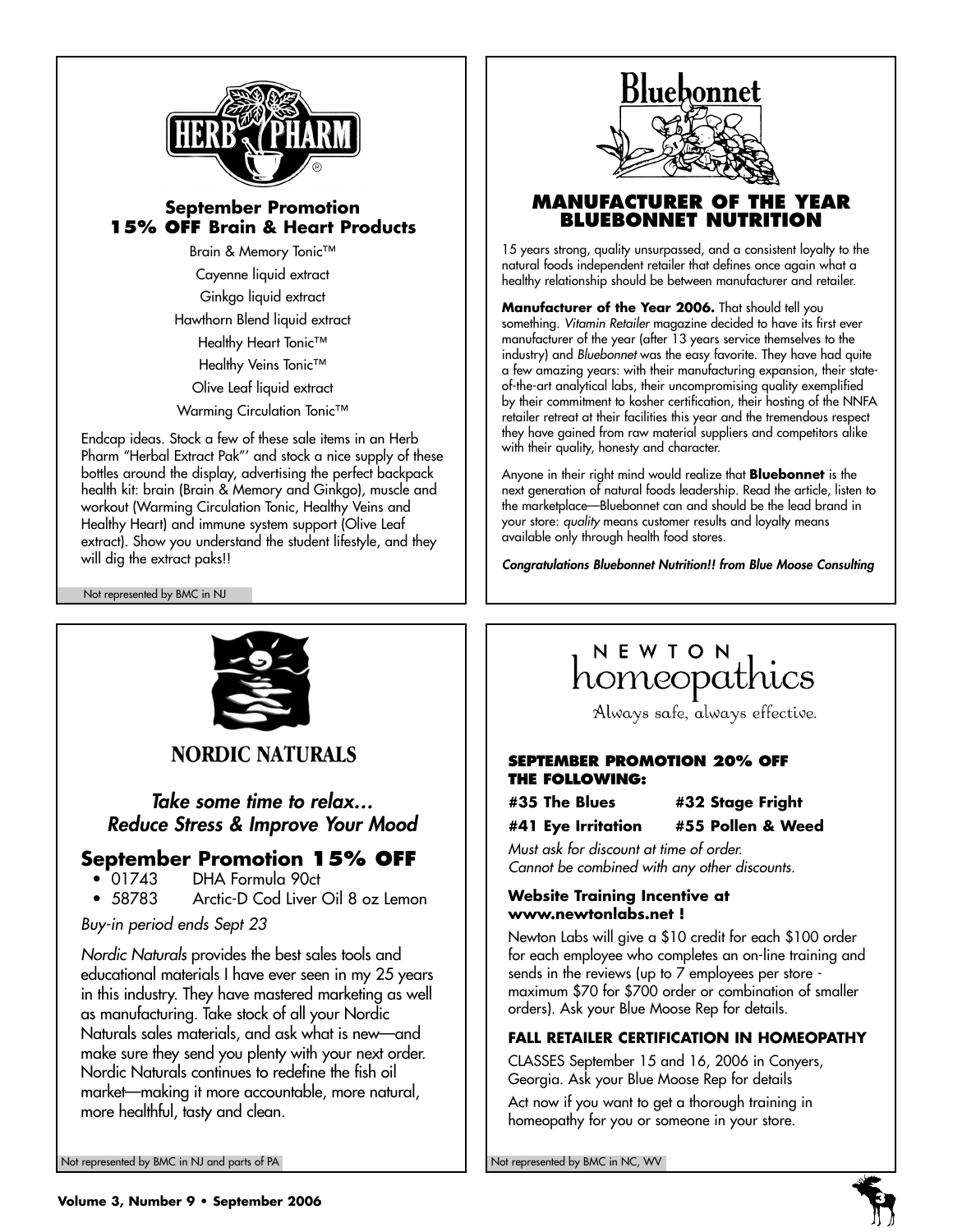

## **September Promotion 15% OFF Brain & Heart Products**

Brain & Memory Tonic™ Cayenne liquid extract Ginkgo liquid extract Hawthorn Blend liquid extract Healthy Heart Tonic™ Healthy Veins Tonic™ Olive Leaf liquid extract Warming Circulation Tonic<sup>™</sup>

Endcap ideas. Stock a few of these sale items in an Herb Pharm "Herbal Extract Pak"' and stock a nice supply of these bottles around the display, advertising the perfect backpack health kit: brain (Brain & Memory and Ginkgo), muscle and workout (Warming Circulation Tonic, Healthy Veins and Healthy Heart) and immune system support (Olive Leaf extract). Show you understand the student lifestyle, and they will dig the extract paks!!

Not represented by BMC in NJ



## **MANUFACTURER OF THE YEAR BLUEBONNET NUTRITION**

15 years strong, quality unsurpassed, and a consistent loyalty to the natural foods independent retailer that defines once again what a healthy relationship should be between manufacturer and retailer.

**Manufacturer of the Year 2006.** That should tell you something. *Vitamin Retailer* magazine decided to have its first ever manufacturer of the year (after 13 years service themselves to the industry) and *Bluebonnet* was the easy favorite. They have had quite a few amazing years: with their manufacturing expansion, their stateof-the-art analytical labs, their uncompromising quality exemplified by their commitment to kosher certification, their hosting of the NNFA retailer retreat at their facilities this year and the tremendous respect they have gained from raw material suppliers and competitors alike with their quality, honesty and character.

Anyone in their right mind would realize that **Bluebonnet** is the next generation of natural foods leadership. Read the article, listen to the marketplace—Bluebonnet can and should be the lead brand in your store: *quality* means customer results and loyalty means available only through health food stores.

*Congratulations Bluebonnet Nutrition!! from Blue Moose Consulting*



**NORDIC NATURALS** 

*Take some time to relax… Reduce Stress & Improve Your Mood*

# **September Promotion 15% OFF**<br>• 01743 DHA Formula 90ct

- 01743 DHA Formula 90ct
- Arctic-D Cod Liver Oil 8 oz Lemon

*Buy-in period ends Sept 23* 

*Nordic Naturals* provides the best sales tools and educational materials I have ever seen in my 25 years in this industry. They have mastered marketing as well as manufacturing. Take stock of all your Nordic Naturals sales materials, and ask what is new—and make sure they send you plenty with your next order. Nordic Naturals continues to redefine the fish oil market—making it more accountable, more natural, more healthful, tasty and clean.

# NEWION<br>homeopathics

Always safe, always effective.

#### **SEPTEMBER PROMOTION 20% OFF THE FOLLOWING:**

**#35 The Blues #32 Stage Fright**

**#41 Eye Irritation #55 Pollen & Weed**

*Must ask for discount at time of order. Cannot be combined with any other discounts.* 

#### **Website Training Incentive at www.newtonlabs.net !**

Newton Labs will give a \$10 credit for each \$100 order for each employee who completes an on-line training and sends in the reviews (up to 7 employees per store maximum \$70 for \$700 order or combination of smaller orders). Ask your Blue Moose Rep for details.

## **FALL RETAILER CERTIFICATION IN HOMEOPATHY**

CLASSES September 15 and 16, 2006 in Conyers, Georgia. Ask your Blue Moose Rep for details

Act now if you want to get a thorough training in homeopathy for you or someone in your store.

Not represented by BMC in NJ and parts of PA Not represented by BMC in NC, WV

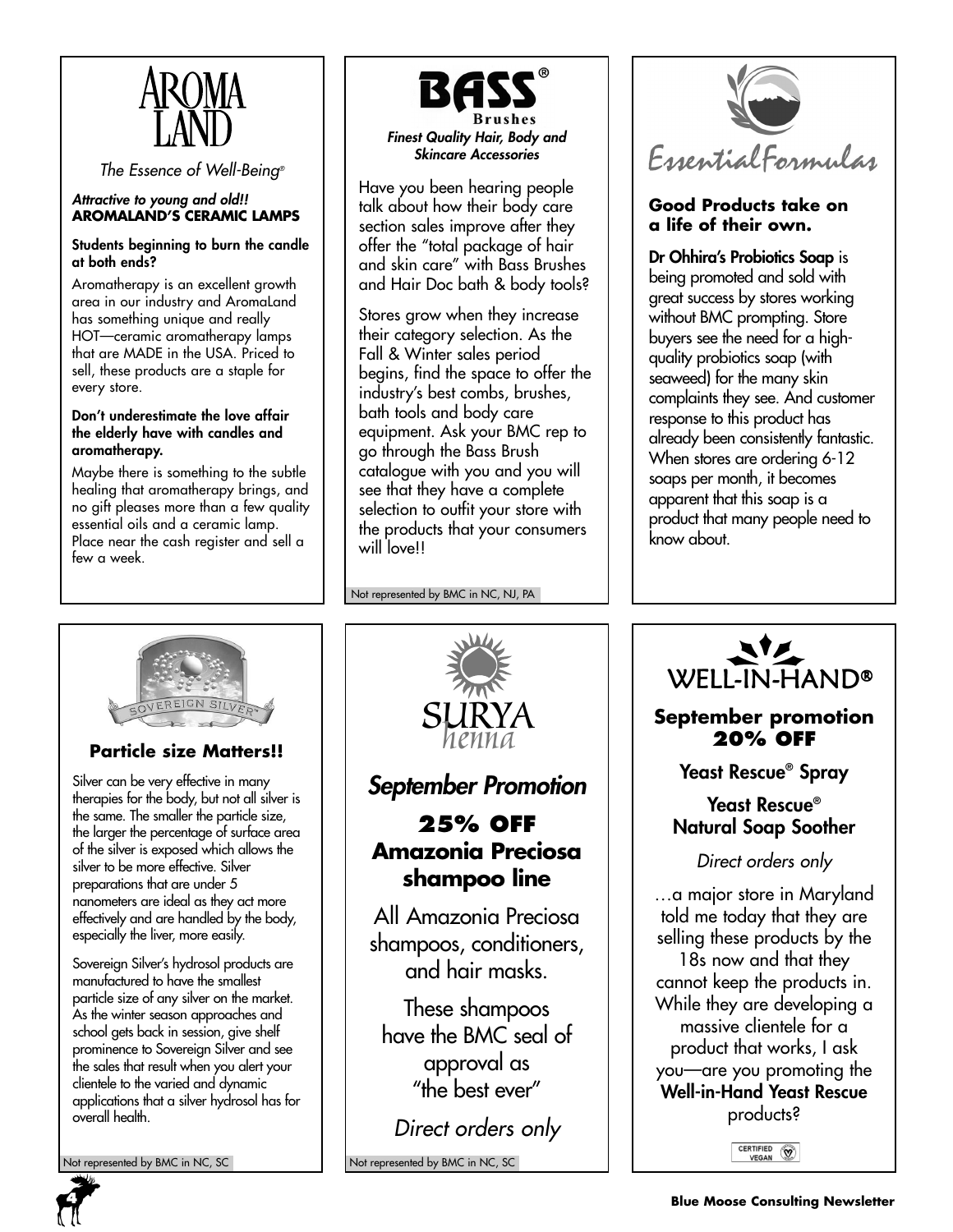

*The Essence of Well-Being®*

#### *Attractive to young and old!!* **AROMALAND'S CERAMIC LAMPS**

#### **Students beginning to burn the candle at both ends?**

Aromatherapy is an excellent growth area in our industry and AromaLand has something unique and really HOT—ceramic aromatherapy lamps that are MADE in the USA. Priced to sell, these products are a staple for every store.

#### **Don't underestimate the love affair the elderly have with candles and aromatherapy.**

Maybe there is something to the subtle healing that aromatherapy brings, and no gift pleases more than a few quality essential oils and a ceramic lamp. Place near the cash register and sell a few a week.



Have you been hearing people talk about how their body care section sales improve after they offer the "total package of hair and skin care" with Bass Brushes and Hair Doc bath & body tools?

Stores grow when they increase their category selection. As the Fall & Winter sales period begins, find the space to offer the industry's best combs, brushes, bath tools and body care equipment. Ask your BMC rep to go through the Bass Brush catalogue with you and you will see that they have a complete selection to outfit your store with the products that your consumers will love!!

Not represented by BMC in NC, NJ, PA



## **Good Products take on a life of their own.**

**Dr Ohhira's Probiotics Soap** is being promoted and sold with great success by stores working without BMC prompting. Store buyers see the need for a highquality probiotics soap (with seaweed) for the many skin complaints they see. And customer response to this product has already been consistently fantastic. When stores are ordering 6-12 soaps per month, it becomes apparent that this soap is a product that many people need to know about.



# **Particle size Matters!!**

Silver can be very effective in many therapies for the body, but not all silver is the same. The smaller the particle size, the larger the percentage of surface area of the silver is exposed which allows the silver to be more effective. Silver preparations that are under 5 nanometers are ideal as they act more effectively and are handled by the body, especially the liver, more easily.

Sovereign Silver's hydrosol products are manufactured to have the smallest particle size of any silver on the market. As the winter season approaches and school gets back in session, give shelf prominence to Sovereign Silver and see the sales that result when you alert your clientele to the varied and dynamic applications that a silver hydrosol has for overall health.

Not represented by BMC in NC, SC Not represented by BMC in NC, SC



# *September Promotion*

# **25% OFF Amazonia Preciosa shampoo line**

All Amazonia Preciosa shampoos, conditioners, and hair masks.

These shampoos have the BMC seal of approval as "the best ever"

*Direct orders only*



# **September promotion 20% OFF**

**Yeast Rescue® Spray**

# **Yeast Rescue® Natural Soap Soother**

*Direct orders only*

…a major store in Maryland told me today that they are selling these products by the 18s now and that they cannot keep the products in. While they are developing a massive clientele for a product that works, I ask you—are you promoting the **Well-in-Hand Yeast Rescue** products?

CERTIFIED (W)

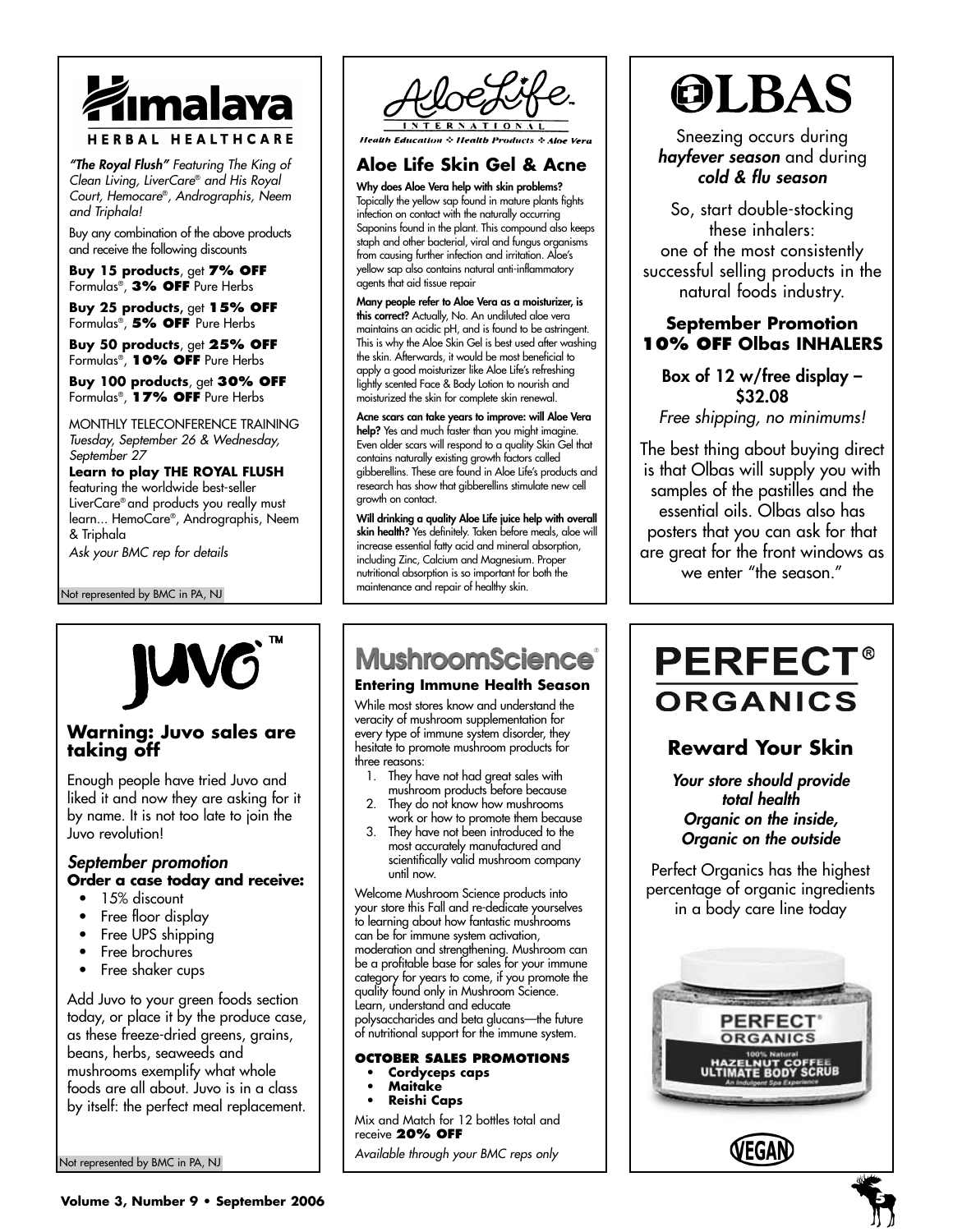

*"The Royal Flush" Featuring The King of Clean Living, LiverCare*® *and His Royal Court, Hemocare*®*, Andrographis, Neem and Triphala!*

Buy any combination of the above products and receive the following discounts

**Buy 15 products**, get **7% OFF** Formulas®, **3% OFF** Pure Herbs

**Buy 25 products,** get **15% OFF** Formulas®, **5% OFF** Pure Herbs

**Buy 50 products**, get **25% OFF** Formulas®, **10% OFF** Pure Herbs

**Buy 100 products**, get **30% OFF** Formulas®, **17% OFF** Pure Herbs

MONTHLY TELECONFERENCE TRAINING *Tuesday, September 26 & Wednesday, September 27*

#### **Learn to play THE ROYAL FLUSH** featuring the worldwide best-seller LiverCare® and products you really must learn... HemoCare®, Andrographis, Neem & Triphala

**Warning: Juvo sales are**

Enough people have tried Juvo and liked it and now they are asking for it by name. It is not too late to join the

**Order a case today and receive:**

Add Juvo to your green foods section today, or place it by the produce case, as these freeze-dried greens, grains, beans, herbs, seaweeds and mushrooms exemplify what whole foods are all about. Juvo is in a class by itself: the perfect meal replacement.

*Ask your BMC rep for details*

Not represented by BMC in PA, NJ

**taking off**

Juvo revolution!

*September promotion*

• 15% discount • Free floor display Free UPS shipping • Free brochures • Free shaker cups



**Health Education & Health Products & Aloe Vera** 

# **Aloe Life Skin Gel & Acne**

**Why does Aloe Vera help with skin problems?** Topically the yellow sap found in mature plants fights infection on contact with the naturally occurring Saponins found in the plant. This compound also keeps staph and other bacterial, viral and fungus organisms from causing further infection and irritation. Aloe's yellow sap also contains natural anti-inflammatory agents that aid tissue repair

**Many people refer to Aloe Vera as a moisturizer, is this correct?** Actually, No. An undiluted aloe vera maintains an acidic pH, and is found to be astringent. This is why the Aloe Skin Gel is best used after washing the skin. Afterwards, it would be most beneficial to apply a good moisturizer like Aloe Life's refreshing lightly scented Face & Body Lotion to nourish and moisturized the skin for complete skin renewal.

**Acne scars can take years to improve: will Aloe Vera help?** Yes and much faster than you might imagine. Even older scars will respond to a quality Skin Gel that contains naturally existing growth factors called gibberellins. These are found in Aloe Life's products and research has show that gibberellins stimulate new cell growth on contact.

**Will drinking a quality Aloe Life juice help with overall skin health?** Yes definitely. Taken before meals, aloe will increase essential fatty acid and mineral absorption, including Zinc, Calcium and Magnesium. Proper nutritional absorption is so important for both the maintenance and repair of healthy skin.

# **MushroomScience**®

#### **Entering Immune Health Season**

While most stores know and understand the veracity of mushroom supplementation for every type of immune system disorder, they hesitate to promote mushroom products for three reasons:

- 1. They have not had great sales with mushroom products before because They do not know how mushrooms
- work or how to promote them because 3. They have not been introduced to the
- most accurately manufactured and scientifically valid mushroom company until now.

Welcome Mushroom Science products into your store this Fall and re-dedicate yourselves to learning about how fantastic mushrooms can be for immune system activation, moderation and strengthening. Mushroom can be a profitable base for sales for your immune category for years to come, if you promote the quality found only in Mushroom Science. Learn, understand and educate polysaccharides and beta glucans—the future of nutritional support for the immune system.

#### **OCTOBER SALES PROMOTIONS • Cordyceps caps**

- **Maitake**
- **Reishi Caps**
- 

Mix and Match for 12 bottles total and receive **20% OFF**

*Available through your BMC reps only*



Sneezing occurs during *hayfever season* and during *cold & flu season*

So, start double-stocking these inhalers: one of the most consistently successful selling products in the natural foods industry.

## **September Promotion 10% OFF Olbas INHALERS**

## **Box of 12 w/free display – \$32.08**

*Free shipping, no minimums!*

The best thing about buying direct is that Olbas will supply you with samples of the pastilles and the essential oils. Olbas also has posters that you can ask for that are great for the front windows as we enter "the season."

# **PERFECT® ORGANICS**

# **Reward Your Skin**

*Your store should provide total health Organic on the inside, Organic on the outside*

Perfect Organics has the highest percentage of organic ingredients in a body care line today



Not represented by BMC in PA, NJ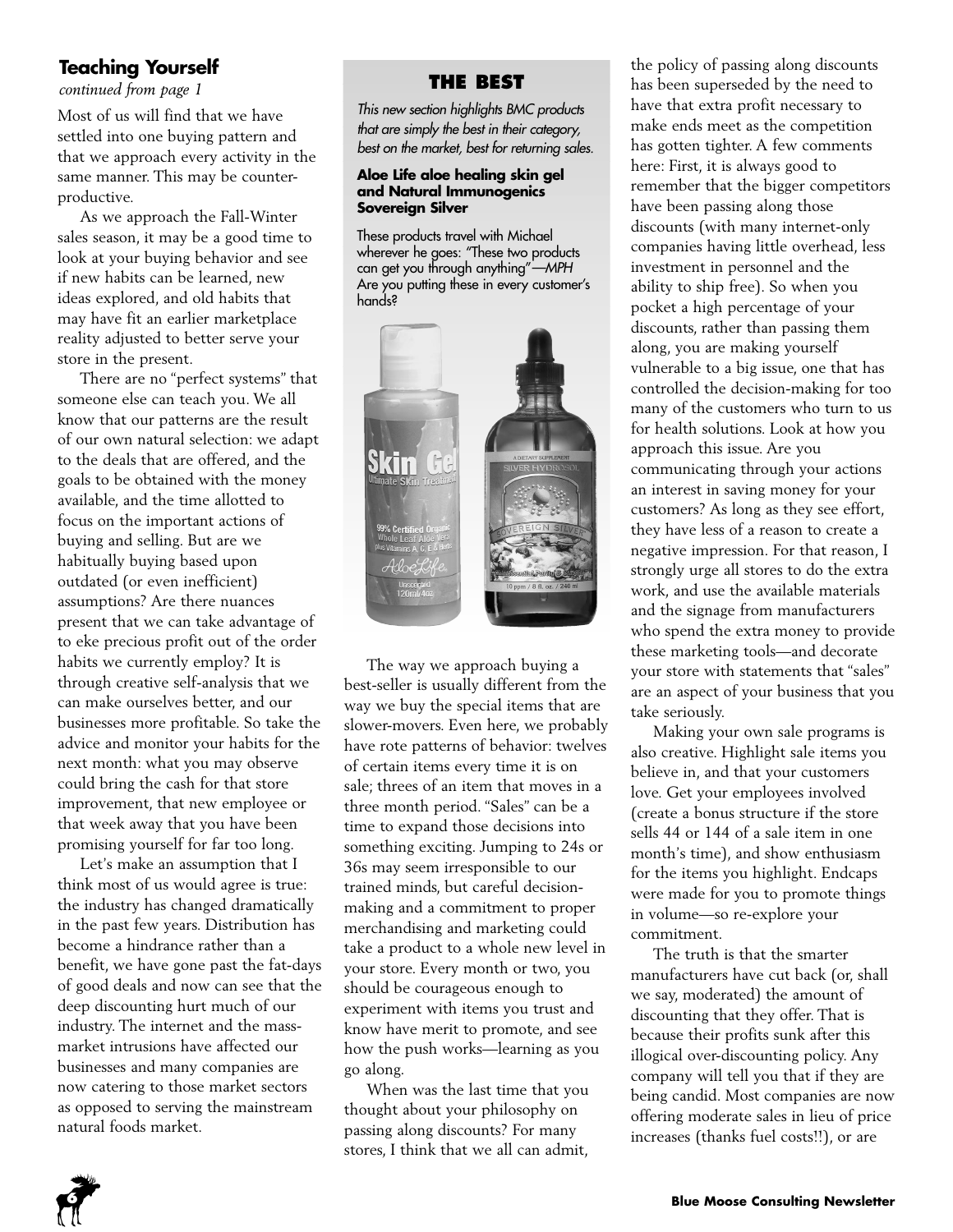# **Teaching Yourself**

*continued from page 1*

Most of us will find that we have settled into one buying pattern and that we approach every activity in the same manner. This may be counterproductive.

As we approach the Fall-Winter sales season, it may be a good time to look at your buying behavior and see if new habits can be learned, new ideas explored, and old habits that may have fit an earlier marketplace reality adjusted to better serve your store in the present.

There are no "perfect systems" that someone else can teach you. We all know that our patterns are the result of our own natural selection: we adapt to the deals that are offered, and the goals to be obtained with the money available, and the time allotted to focus on the important actions of buying and selling. But are we habitually buying based upon outdated (or even inefficient) assumptions? Are there nuances present that we can take advantage of to eke precious profit out of the order habits we currently employ? It is through creative self-analysis that we can make ourselves better, and our businesses more profitable. So take the advice and monitor your habits for the next month: what you may observe could bring the cash for that store improvement, that new employee or that week away that you have been promising yourself for far too long.

Let's make an assumption that I think most of us would agree is true: the industry has changed dramatically in the past few years. Distribution has become a hindrance rather than a benefit, we have gone past the fat-days of good deals and now can see that the deep discounting hurt much of our industry. The internet and the massmarket intrusions have affected our businesses and many companies are now catering to those market sectors as opposed to serving the mainstream natural foods market.

#### **THE BEST**

*This new section highlights BMC products that are simply the best in their category, best on the market, best for returning sales.*

#### **Aloe Life aloe healing skin gel and Natural Immunogenics Sovereign Silver**

These products travel with Michael wherever he goes: "These two products can get you through anything"*—MPH* Are you putting these in every customer's hands?



The way we approach buying a best-seller is usually different from the way we buy the special items that are slower-movers. Even here, we probably have rote patterns of behavior: twelves of certain items every time it is on sale; threes of an item that moves in a three month period. "Sales" can be a time to expand those decisions into something exciting. Jumping to 24s or 36s may seem irresponsible to our trained minds, but careful decisionmaking and a commitment to proper merchandising and marketing could take a product to a whole new level in your store. Every month or two, you should be courageous enough to experiment with items you trust and know have merit to promote, and see how the push works—learning as you go along.

When was the last time that you thought about your philosophy on passing along discounts? For many stores, I think that we all can admit,

the policy of passing along discounts has been superseded by the need to have that extra profit necessary to make ends meet as the competition has gotten tighter. A few comments here: First, it is always good to remember that the bigger competitors have been passing along those discounts (with many internet-only companies having little overhead, less investment in personnel and the ability to ship free). So when you pocket a high percentage of your discounts, rather than passing them along, you are making yourself vulnerable to a big issue, one that has controlled the decision-making for too many of the customers who turn to us for health solutions. Look at how you approach this issue. Are you communicating through your actions an interest in saving money for your customers? As long as they see effort, they have less of a reason to create a negative impression. For that reason, I strongly urge all stores to do the extra work, and use the available materials and the signage from manufacturers who spend the extra money to provide these marketing tools—and decorate your store with statements that "sales" are an aspect of your business that you take seriously.

Making your own sale programs is also creative. Highlight sale items you believe in, and that your customers love. Get your employees involved (create a bonus structure if the store sells 44 or 144 of a sale item in one month's time), and show enthusiasm for the items you highlight. Endcaps were made for you to promote things in volume—so re-explore your commitment.

The truth is that the smarter manufacturers have cut back (or, shall we say, moderated) the amount of discounting that they offer. That is because their profits sunk after this illogical over-discounting policy. Any company will tell you that if they are being candid. Most companies are now offering moderate sales in lieu of price increases (thanks fuel costs!!), or are

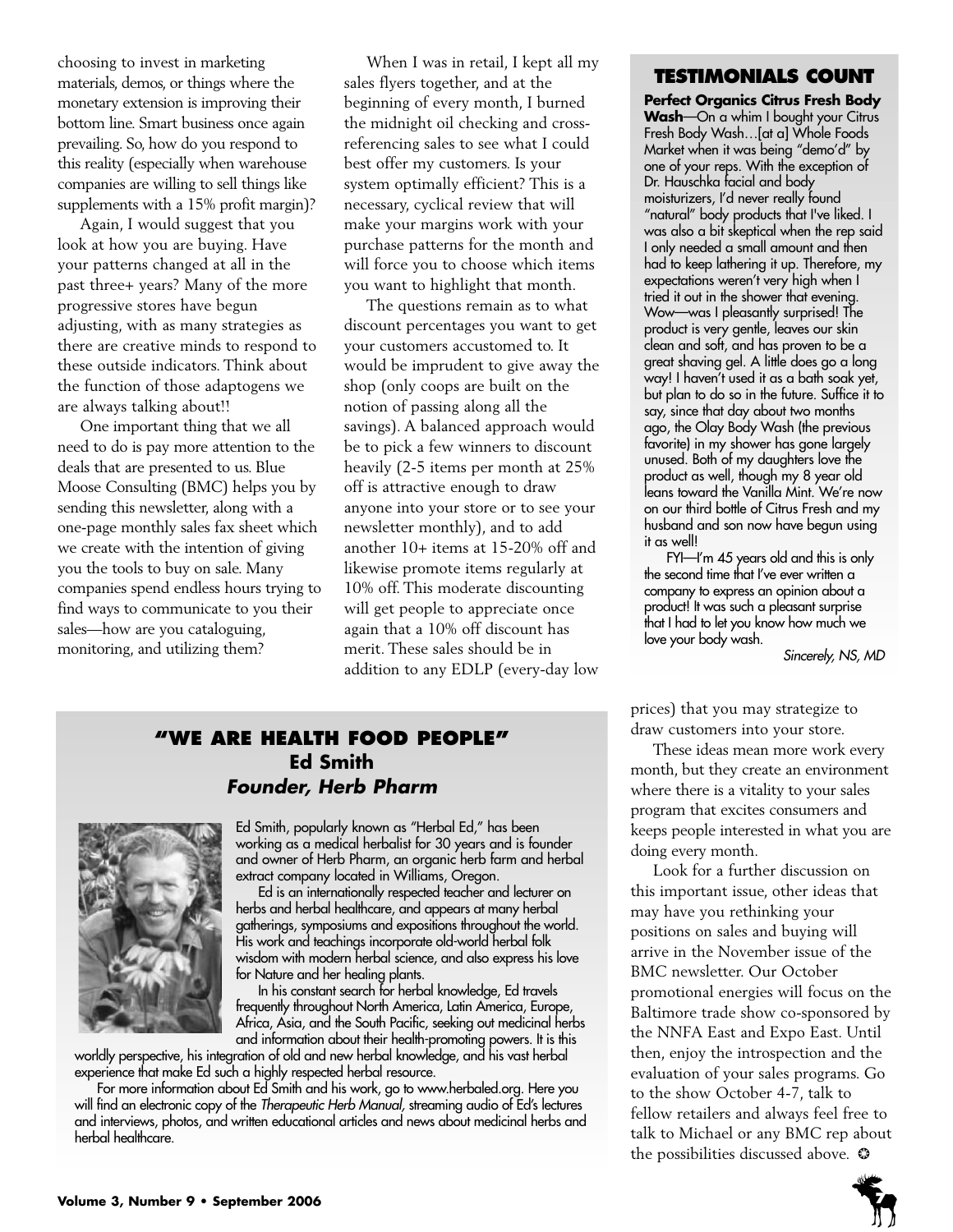choosing to invest in marketing materials, demos, or things where the monetary extension is improving their bottom line. Smart business once again prevailing. So, how do you respond to this reality (especially when warehouse companies are willing to sell things like supplements with a 15% profit margin)?

Again, I would suggest that you look at how you are buying. Have your patterns changed at all in the past three+ years? Many of the more progressive stores have begun adjusting, with as many strategies as there are creative minds to respond to these outside indicators. Think about the function of those adaptogens we are always talking about!!

One important thing that we all need to do is pay more attention to the deals that are presented to us. Blue Moose Consulting (BMC) helps you by sending this newsletter, along with a one-page monthly sales fax sheet which we create with the intention of giving you the tools to buy on sale. Many companies spend endless hours trying to find ways to communicate to you their sales—how are you cataloguing, monitoring, and utilizing them?

When I was in retail, I kept all my sales flyers together, and at the beginning of every month, I burned the midnight oil checking and crossreferencing sales to see what I could best offer my customers. Is your system optimally efficient? This is a necessary, cyclical review that will make your margins work with your purchase patterns for the month and will force you to choose which items you want to highlight that month.

The questions remain as to what discount percentages you want to get your customers accustomed to. It would be imprudent to give away the shop (only coops are built on the notion of passing along all the savings). A balanced approach would be to pick a few winners to discount heavily (2-5 items per month at 25% off is attractive enough to draw anyone into your store or to see your newsletter monthly), and to add another 10+ items at 15-20% off and likewise promote items regularly at 10% off. This moderate discounting will get people to appreciate once again that a 10% off discount has merit. These sales should be in addition to any EDLP (every-day low

#### **TESTIMONIALS COUNT**

**Perfect Organics Citrus Fresh Body Wash**—On a whim I bought your Citrus Fresh Body Wash…[at a] Whole Foods Market when it was being "demo'd" by one of your reps. With the exception of Dr. Hauschka facial and body moisturizers, I'd never really found "natural" body products that I've liked. I was also a bit skeptical when the rep said I only needed a small amount and then had to keep lathering it up. Therefore, my expectations weren't very high when I tried it out in the shower that evening. Wow—was I pleasantly surprised! The product is very gentle, leaves our skin clean and soft, and has proven to be a great shaving gel. A little does go a long way! I haven't used it as a bath soak yet, but plan to do so in the future. Suffice it to say, since that day about two months ago, the Olay Body Wash (the previous favorite) in my shower has gone largely unused. Both of my daughters love the product as well, though my 8 year old leans toward the Vanilla Mint. We're now on our third bottle of Citrus Fresh and my husband and son now have begun using it as well!

FYI—I'm 45 years old and this is only the second time that I've ever written a company to express an opinion about a product! It was such a pleasant surprise that I had to let you know how much we love your body wash.

*Sincerely, NS, MD*

# **"WE ARE HEALTH FOOD PEOPLE" Ed Smith** *Founder, Herb Pharm*



Ed Smith, popularly known as "Herbal Ed," has been working as a medical herbalist for 30 years and is founder and owner of Herb Pharm, an organic herb farm and herbal extract company located in Williams, Oregon.

Ed is an internationally respected teacher and lecturer on herbs and herbal healthcare, and appears at many herbal gatherings, symposiums and expositions throughout the world. His work and teachings incorporate old-world herbal folk wisdom with modern herbal science, and also express his love for Nature and her healing plants.

In his constant search for herbal knowledge, Ed travels frequently throughout North America, Latin America, Europe, Africa, Asia, and the South Pacific, seeking out medicinal herbs and information about their health-promoting powers. It is this

worldly perspective, his integration of old and new herbal knowledge, and his vast herbal experience that make Ed such a highly respected herbal resource.

For more information about Ed Smith and his work, go to www.herbaled.org. Here you will find an electronic copy of the *Therapeutic Herb Manual,* streaming audio of Ed's lectures and interviews, photos, and written educational articles and news about medicinal herbs and herbal healthcare.

prices) that you may strategize to draw customers into your store.

These ideas mean more work every month, but they create an environment where there is a vitality to your sales program that excites consumers and keeps people interested in what you are doing every month.

Look for a further discussion on this important issue, other ideas that may have you rethinking your positions on sales and buying will arrive in the November issue of the BMC newsletter. Our October promotional energies will focus on the Baltimore trade show co-sponsored by the NNFA East and Expo East. Until then, enjoy the introspection and the evaluation of your sales programs. Go to the show October 4-7, talk to fellow retailers and always feel free to talk to Michael or any BMC rep about the possibilities discussed above.  $\odot$